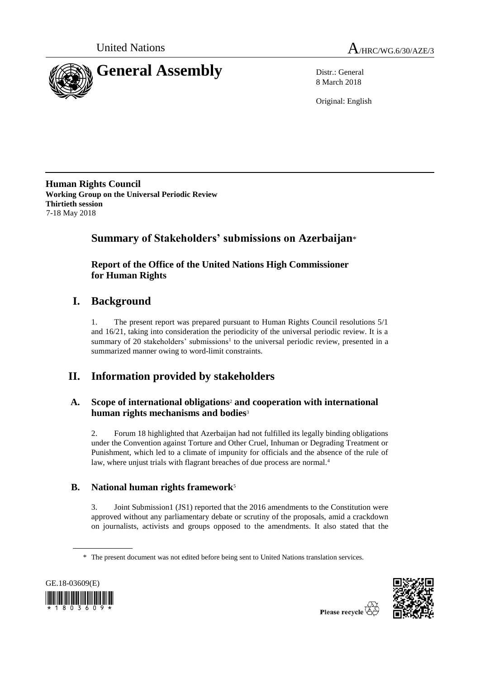



8 March 2018

Original: English

**Human Rights Council Working Group on the Universal Periodic Review Thirtieth session** 7-18 May 2018

# **Summary of Stakeholders' submissions on Azerbaijan**\*

# **Report of the Office of the United Nations High Commissioner for Human Rights**

# **I. Background**

1. The present report was prepared pursuant to Human Rights Council resolutions 5/1 and 16/21, taking into consideration the periodicity of the universal periodic review. It is a summary of 20 stakeholders' submissions<sup>1</sup> to the universal periodic review, presented in a summarized manner owing to word-limit constraints.

# **II. Information provided by stakeholders**

# **A. Scope of international obligations**<sup>2</sup> **and cooperation with international human rights mechanisms and bodies**<sup>3</sup>

2. Forum 18 highlighted that Azerbaijan had not fulfilled its legally binding obligations under the Convention against Torture and Other Cruel, Inhuman or Degrading Treatment or Punishment, which led to a climate of impunity for officials and the absence of the rule of law, where unjust trials with flagrant breaches of due process are normal.<sup>4</sup>

# **B. National human rights framework**<sup>5</sup>

3. Joint Submission1 (JS1) reported that the 2016 amendments to the Constitution were approved without any parliamentary debate or scrutiny of the proposals, amid a crackdown on journalists, activists and groups opposed to the amendments. It also stated that the

<sup>\*</sup> The present document was not edited before being sent to United Nations translation services.



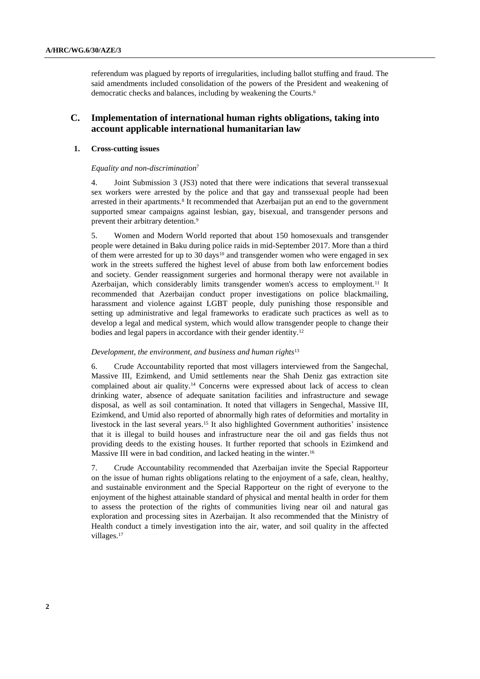referendum was plagued by reports of irregularities, including ballot stuffing and fraud. The said amendments included consolidation of the powers of the President and weakening of democratic checks and balances, including by weakening the Courts. 6

# **C. Implementation of international human rights obligations, taking into account applicable international humanitarian law**

# **1. Cross-cutting issues**

## *Equality and non-discrimination*<sup>7</sup>

4. Joint Submission 3 (JS3) noted that there were indications that several transsexual sex workers were arrested by the police and that gay and transsexual people had been arrested in their apartments.<sup>8</sup> It recommended that Azerbaijan put an end to the government supported smear campaigns against lesbian, gay, bisexual, and transgender persons and prevent their arbitrary detention.<sup>9</sup>

5. Women and Modern World reported that about 150 homosexuals and transgender people were detained in Baku during police raids in mid-September 2017. More than a third of them were arrested for up to 30 days<sup>10</sup> and transgender women who were engaged in sex work in the streets suffered the highest level of abuse from both law enforcement bodies and society. Gender reassignment surgeries and hormonal therapy were not available in Azerbaijan, which considerably limits transgender women's access to employment.<sup>11</sup> It recommended that Azerbaijan conduct proper investigations on police blackmailing, harassment and violence against LGBT people, duly punishing those responsible and setting up administrative and legal frameworks to eradicate such practices as well as to develop a legal and medical system, which would allow transgender people to change their bodies and legal papers in accordance with their gender identity.<sup>12</sup>

#### *Development, the environment, and business and human rights*<sup>13</sup>

6. Crude Accountability reported that most villagers interviewed from the Sangechal, Massive III, Ezimkend, and Umid settlements near the Shah Deniz gas extraction site complained about air quality.<sup>14</sup> Concerns were expressed about lack of access to clean drinking water, absence of adequate sanitation facilities and infrastructure and sewage disposal, as well as soil contamination. It noted that villagers in Sengechal, Massive III, Ezimkend, and Umid also reported of abnormally high rates of deformities and mortality in livestock in the last several years.<sup>15</sup> It also highlighted Government authorities' insistence that it is illegal to build houses and infrastructure near the oil and gas fields thus not providing deeds to the existing houses. It further reported that schools in Ezimkend and Massive III were in bad condition, and lacked heating in the winter.<sup>16</sup>

7. Crude Accountability recommended that Azerbaijan invite the Special Rapporteur on the issue of human rights obligations relating to the enjoyment of a safe, clean, healthy, and sustainable environment and the Special Rapporteur on the right of everyone to the enjoyment of the highest attainable standard of physical and mental health in order for them to assess the protection of the rights of communities living near oil and natural gas exploration and processing sites in Azerbaijan. It also recommended that the Ministry of Health conduct a timely investigation into the air, water, and soil quality in the affected villages.<sup>17</sup>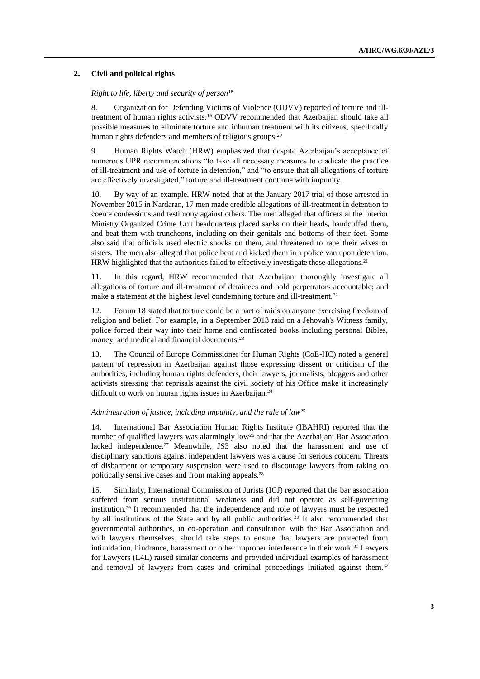## **2. Civil and political rights**

## *Right to life, liberty and security of person*<sup>18</sup>

8. Organization for Defending Victims of Violence (ODVV) reported of torture and illtreatment of human rights activists.<sup>19</sup> ODVV recommended that Azerbaijan should take all possible measures to eliminate torture and inhuman treatment with its citizens, specifically human rights defenders and members of religious groups.<sup>20</sup>

9. Human Rights Watch (HRW) emphasized that despite Azerbaijan's acceptance of numerous UPR recommendations "to take all necessary measures to eradicate the practice of ill-treatment and use of torture in detention," and "to ensure that all allegations of torture are effectively investigated," torture and ill-treatment continue with impunity.

10. By way of an example, HRW noted that at the January 2017 trial of those arrested in November 2015 in Nardaran, 17 men made credible allegations of ill-treatment in detention to coerce confessions and testimony against others. The men alleged that officers at the Interior Ministry Organized Crime Unit headquarters placed sacks on their heads, handcuffed them, and beat them with truncheons, including on their genitals and bottoms of their feet. Some also said that officials used electric shocks on them, and threatened to rape their wives or sisters. The men also alleged that police beat and kicked them in a police van upon detention. HRW highlighted that the authorities failed to effectively investigate these allegations.<sup>21</sup>

11. In this regard, HRW recommended that Azerbaijan: thoroughly investigate all allegations of torture and ill-treatment of detainees and hold perpetrators accountable; and make a statement at the highest level condemning torture and ill-treatment.<sup>22</sup>

12. Forum 18 stated that torture could be a part of raids on anyone exercising freedom of religion and belief. For example, in a September 2013 raid on a Jehovah's Witness family, police forced their way into their home and confiscated books including personal Bibles, money, and medical and financial documents.<sup>23</sup>

13. The Council of Europe Commissioner for Human Rights (CoE-HC) noted a general pattern of repression in Azerbaijan against those expressing dissent or criticism of the authorities, including human rights defenders, their lawyers, journalists, bloggers and other activists stressing that reprisals against the civil society of his Office make it increasingly difficult to work on human rights issues in Azerbaijan.<sup>24</sup>

## *Administration of justice, including impunity, and the rule of law*<sup>25</sup>

14. International Bar Association Human Rights Institute (IBAHRI) reported that the number of qualified lawyers was alarmingly low<sup>26</sup> and that the Azerbaijani Bar Association lacked independence.<sup>27</sup> Meanwhile, JS3 also noted that the harassment and use of disciplinary sanctions against independent lawyers was a cause for serious concern. Threats of disbarment or temporary suspension were used to discourage lawyers from taking on politically sensitive cases and from making appeals. 28

15. Similarly, International Commission of Jurists (ICJ) reported that the bar association suffered from serious institutional weakness and did not operate as self-governing institution.<sup>29</sup> It recommended that the independence and role of lawyers must be respected by all institutions of the State and by all public authorities.<sup>30</sup> It also recommended that governmental authorities, in co-operation and consultation with the Bar Association and with lawyers themselves, should take steps to ensure that lawyers are protected from intimidation, hindrance, harassment or other improper interference in their work.<sup>31</sup> Lawyers for Lawyers (L4L) raised similar concerns and provided individual examples of harassment and removal of lawyers from cases and criminal proceedings initiated against them.<sup>32</sup>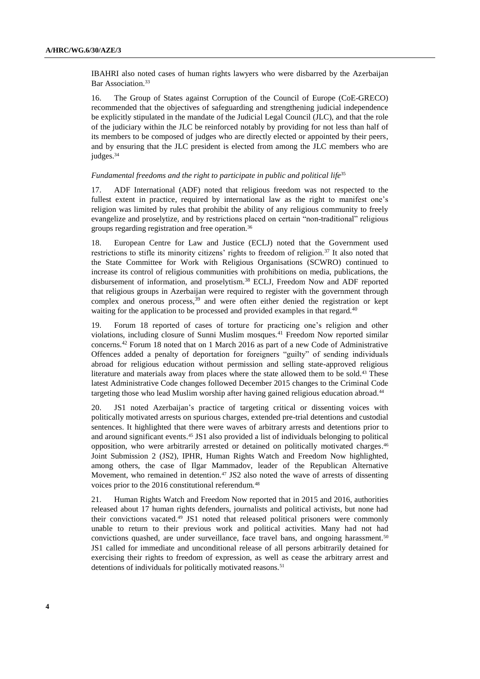IBAHRI also noted cases of human rights lawyers who were disbarred by the Azerbaijan Bar Association.<sup>33</sup>

16. The Group of States against Corruption of the Council of Europe (CoE-GRECO) recommended that the objectives of safeguarding and strengthening judicial independence be explicitly stipulated in the mandate of the Judicial Legal Council (JLC), and that the role of the judiciary within the JLC be reinforced notably by providing for not less than half of its members to be composed of judges who are directly elected or appointed by their peers, and by ensuring that the JLC president is elected from among the JLC members who are judges.<sup>34</sup>

## *Fundamental freedoms and the right to participate in public and political life*<sup>35</sup>

17. ADF International (ADF) noted that religious freedom was not respected to the fullest extent in practice, required by international law as the right to manifest one's religion was limited by rules that prohibit the ability of any religious community to freely evangelize and proselytize, and by restrictions placed on certain "non-traditional" religious groups regarding registration and free operation.<sup>36</sup>

18. European Centre for Law and Justice (ECLJ) noted that the Government used restrictions to stifle its minority citizens' rights to freedom of religion.<sup>37</sup> It also noted that the State Committee for Work with Religious Organisations (SCWRO) continued to increase its control of religious communities with prohibitions on media, publications, the disbursement of information, and proselytism.<sup>38</sup> ECLJ, Freedom Now and ADF reported that religious groups in Azerbaijan were required to register with the government through complex and onerous process,  $39$  and were often either denied the registration or kept waiting for the application to be processed and provided examples in that regard.<sup>40</sup>

19. Forum 18 reported of cases of torture for practicing one's religion and other violations, including closure of Sunni Muslim mosques.<sup>41</sup> Freedom Now reported similar concerns.<sup>42</sup> Forum 18 noted that on 1 March 2016 as part of a new Code of Administrative Offences added a penalty of deportation for foreigners "guilty" of sending individuals abroad for religious education without permission and selling state-approved religious literature and materials away from places where the state allowed them to be sold.<sup>43</sup> These latest Administrative Code changes followed December 2015 changes to the Criminal Code targeting those who lead Muslim worship after having gained religious education abroad.<sup>44</sup>

20. JS1 noted Azerbaijan's practice of targeting critical or dissenting voices with politically motivated arrests on spurious charges, extended pre-trial detentions and custodial sentences. It highlighted that there were waves of arbitrary arrests and detentions prior to and around significant events. <sup>45</sup> JS1 also provided a list of individuals belonging to political opposition, who were arbitrarily arrested or detained on politically motivated charges. 46 Joint Submission 2 (JS2), IPHR, Human Rights Watch and Freedom Now highlighted, among others, the case of Ilgar Mammadov, leader of the Republican Alternative Movement, who remained in detention.<sup>47</sup> JS2 also noted the wave of arrests of dissenting voices prior to the 2016 constitutional referendum.<sup>48</sup>

21. Human Rights Watch and Freedom Now reported that in 2015 and 2016, authorities released about 17 human rights defenders, journalists and political activists, but none had their convictions vacated.<sup>49</sup> JS1 noted that released political prisoners were commonly unable to return to their previous work and political activities. Many had not had convictions quashed, are under surveillance, face travel bans, and ongoing harassment.<sup>50</sup> JS1 called for immediate and unconditional release of all persons arbitrarily detained for exercising their rights to freedom of expression, as well as cease the arbitrary arrest and detentions of individuals for politically motivated reasons.<sup>51</sup>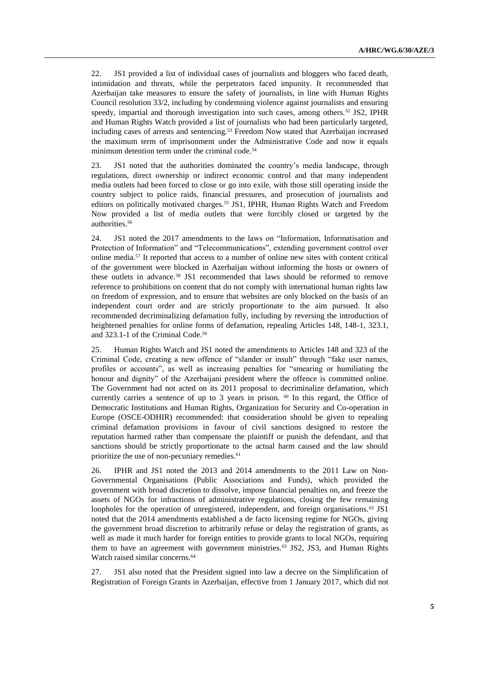22. JS1 provided a list of individual cases of journalists and bloggers who faced death, intimidation and threats, while the perpetrators faced impunity. It recommended that Azerbaijan take measures to ensure the safety of journalists, in line with Human Rights Council resolution 33/2, including by condemning violence against journalists and ensuring speedy, impartial and thorough investigation into such cases, among others.<sup>52</sup> JS2, IPHR and Human Rights Watch provided a list of journalists who had been particularly targeted, including cases of arrests and sentencing.<sup>53</sup> Freedom Now stated that Azerbaijan increased the maximum term of imprisonment under the Administrative Code and now it equals minimum detention term under the criminal code.<sup>54</sup>

23. JS1 noted that the authorities dominated the country's media landscape, through regulations, direct ownership or indirect economic control and that many independent media outlets had been forced to close or go into exile, with those still operating inside the country subject to police raids, financial pressures, and prosecution of journalists and editors on politically motivated charges.<sup>55</sup> JS1, IPHR, Human Rights Watch and Freedom Now provided a list of media outlets that were forcibly closed or targeted by the authorities. 56

24. JS1 noted the 2017 amendments to the laws on "Information, Informatisation and Protection of Information" and "Telecommunications", extending government control over online media. <sup>57</sup> It reported that access to a number of online new sites with content critical of the government were blocked in Azerbaijan without informing the hosts or owners of these outlets in advance.<sup>58</sup> JS1 recommended that laws should be reformed to remove reference to prohibitions on content that do not comply with international human rights law on freedom of expression, and to ensure that websites are only blocked on the basis of an independent court order and are strictly proportionate to the aim pursued. It also recommended decriminalizing defamation fully, including by reversing the introduction of heightened penalties for online forms of defamation, repealing Articles 148, 148-1, 323.1, and 323.1-1 of the Criminal Code.<sup>59</sup>

25. Human Rights Watch and JS1 noted the amendments to Articles 148 and 323 of the Criminal Code, creating a new offence of "slander or insult" through "fake user names, profiles or accounts", as well as increasing penalties for "smearing or humiliating the honour and dignity" of the Azerbaijani president where the offence is committed online. The Government had not acted on its 2011 proposal to decriminalize defamation, which currently carries a sentence of up to 3 years in prison.  $60$  In this regard, the Office of Democratic Institutions and Human Rights, Organization for Security and Co-operation in Europe (OSCE-ODHIR) recommended: that consideration should be given to repealing criminal defamation provisions in favour of civil sanctions designed to restore the reputation harmed rather than compensate the plaintiff or punish the defendant, and that sanctions should be strictly proportionate to the actual harm caused and the law should prioritize the use of non-pecuniary remedies.<sup>61</sup>

26. IPHR and JS1 noted the 2013 and 2014 amendments to the 2011 Law on Non-Governmental Organisations (Public Associations and Funds), which provided the government with broad discretion to dissolve, impose financial penalties on, and freeze the assets of NGOs for infractions of administrative regulations, closing the few remaining loopholes for the operation of unregistered, independent, and foreign organisations.<sup>62</sup> JS1 noted that the 2014 amendments established a de facto licensing regime for NGOs, giving the government broad discretion to arbitrarily refuse or delay the registration of grants, as well as made it much harder for foreign entities to provide grants to local NGOs, requiring them to have an agreement with government ministries.<sup>63</sup> JS2, JS3, and Human Rights Watch raised similar concerns.<sup>64</sup>

27. JS1 also noted that the President signed into law a decree on the Simplification of Registration of Foreign Grants in Azerbaijan, effective from 1 January 2017, which did not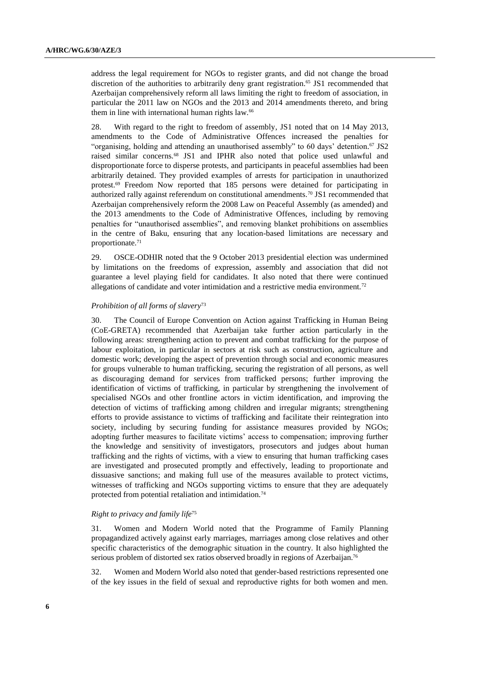address the legal requirement for NGOs to register grants, and did not change the broad discretion of the authorities to arbitrarily deny grant registration. <sup>65</sup> JS1 recommended that Azerbaijan comprehensively reform all laws limiting the right to freedom of association, in particular the 2011 law on NGOs and the 2013 and 2014 amendments thereto, and bring them in line with international human rights law.<sup>66</sup>

28. With regard to the right to freedom of assembly, JS1 noted that on 14 May 2013, amendments to the Code of Administrative Offences increased the penalties for "organising, holding and attending an unauthorised assembly" to 60 days' detention. <sup>67</sup> JS2 raised similar concerns.<sup>68</sup> JS1 and IPHR also noted that police used unlawful and disproportionate force to disperse protests, and participants in peaceful assemblies had been arbitrarily detained. They provided examples of arrests for participation in unauthorized protest.<sup>69</sup> Freedom Now reported that 185 persons were detained for participating in authorized rally against referendum on constitutional amendments.<sup>70</sup> JS1 recommended that Azerbaijan comprehensively reform the 2008 Law on Peaceful Assembly (as amended) and the 2013 amendments to the Code of Administrative Offences, including by removing penalties for "unauthorised assemblies", and removing blanket prohibitions on assemblies in the centre of Baku, ensuring that any location-based limitations are necessary and proportionate.<sup>71</sup>

29. OSCE-ODHIR noted that the 9 October 2013 presidential election was undermined by limitations on the freedoms of expression, assembly and association that did not guarantee a level playing field for candidates. It also noted that there were continued allegations of candidate and voter intimidation and a restrictive media environment.<sup>72</sup>

#### *Prohibition of all forms of slavery*<sup>73</sup>

30. The Council of Europe Convention on Action against Trafficking in Human Being (CoE-GRETA) recommended that Azerbaijan take further action particularly in the following areas: strengthening action to prevent and combat trafficking for the purpose of labour exploitation, in particular in sectors at risk such as construction, agriculture and domestic work; developing the aspect of prevention through social and economic measures for groups vulnerable to human trafficking, securing the registration of all persons, as well as discouraging demand for services from trafficked persons; further improving the identification of victims of trafficking, in particular by strengthening the involvement of specialised NGOs and other frontline actors in victim identification, and improving the detection of victims of trafficking among children and irregular migrants; strengthening efforts to provide assistance to victims of trafficking and facilitate their reintegration into society, including by securing funding for assistance measures provided by NGOs; adopting further measures to facilitate victims' access to compensation; improving further the knowledge and sensitivity of investigators, prosecutors and judges about human trafficking and the rights of victims, with a view to ensuring that human trafficking cases are investigated and prosecuted promptly and effectively, leading to proportionate and dissuasive sanctions; and making full use of the measures available to protect victims, witnesses of trafficking and NGOs supporting victims to ensure that they are adequately protected from potential retaliation and intimidation.<sup>74</sup>

#### *Right to privacy and family life*<sup>75</sup>

31. Women and Modern World noted that the Programme of Family Planning propagandized actively against early marriages, marriages among close relatives and other specific characteristics of the demographic situation in the country. It also highlighted the serious problem of distorted sex ratios observed broadly in regions of Azerbaijan.<sup>76</sup>

32. Women and Modern World also noted that gender-based restrictions represented one of the key issues in the field of sexual and reproductive rights for both women and men.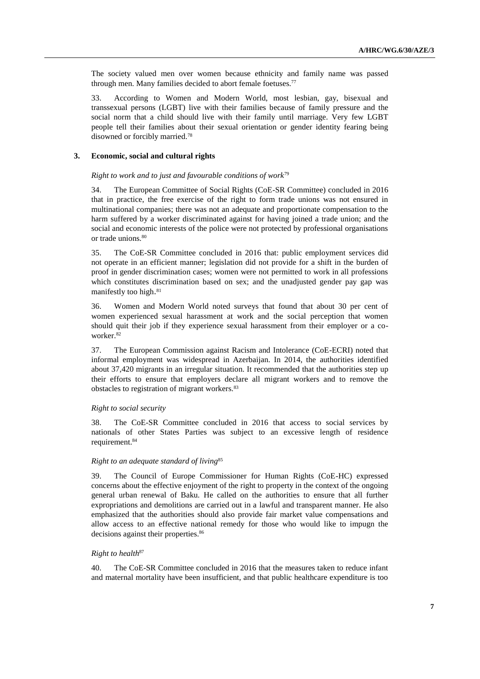The society valued men over women because ethnicity and family name was passed through men. Many families decided to abort female foetuses.<sup>77</sup>

33. According to Women and Modern World, most lesbian, gay, bisexual and transsexual persons (LGBT) live with their families because of family pressure and the social norm that a child should live with their family until marriage. Very few LGBT people tell their families about their sexual orientation or gender identity fearing being disowned or forcibly married.<sup>78</sup>

#### **3. Economic, social and cultural rights**

## *Right to work and to just and favourable conditions of work*<sup>79</sup>

34. The European Committee of Social Rights (CoE-SR Committee) concluded in 2016 that in practice, the free exercise of the right to form trade unions was not ensured in multinational companies; there was not an adequate and proportionate compensation to the harm suffered by a worker discriminated against for having joined a trade union; and the social and economic interests of the police were not protected by professional organisations or trade unions.<sup>80</sup>

35. The CoE-SR Committee concluded in 2016 that: public employment services did not operate in an efficient manner; legislation did not provide for a shift in the burden of proof in gender discrimination cases; women were not permitted to work in all professions which constitutes discrimination based on sex; and the unadjusted gender pay gap was manifestly too high. 81

36. Women and Modern World noted surveys that found that about 30 per cent of women experienced sexual harassment at work and the social perception that women should quit their job if they experience sexual harassment from their employer or a coworker.<sup>82</sup>

37. The European Commission against Racism and Intolerance (CoE-ECRI) noted that informal employment was widespread in Azerbaijan. In 2014, the authorities identified about 37,420 migrants in an irregular situation. It recommended that the authorities step up their efforts to ensure that employers declare all migrant workers and to remove the obstacles to registration of migrant workers.<sup>83</sup>

#### *Right to social security*

38. The CoE-SR Committee concluded in 2016 that access to social services by nationals of other States Parties was subject to an excessive length of residence requirement. 84

#### *Right to an adequate standard of living*<sup>85</sup>

39. The Council of Europe Commissioner for Human Rights (CoE-HC) expressed concerns about the effective enjoyment of the right to property in the context of the ongoing general urban renewal of Baku. He called on the authorities to ensure that all further expropriations and demolitions are carried out in a lawful and transparent manner. He also emphasized that the authorities should also provide fair market value compensations and allow access to an effective national remedy for those who would like to impugn the decisions against their properties.<sup>86</sup>

# *Right to health*<sup>87</sup>

40. The CoE-SR Committee concluded in 2016 that the measures taken to reduce infant and maternal mortality have been insufficient, and that public healthcare expenditure is too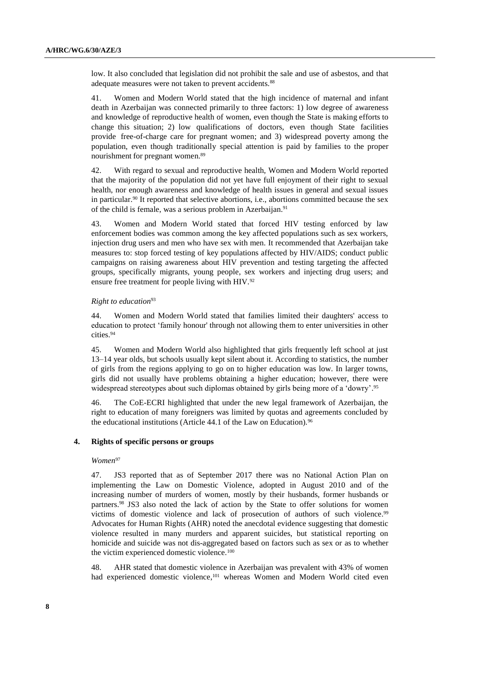low. It also concluded that legislation did not prohibit the sale and use of asbestos, and that adequate measures were not taken to prevent accidents.<sup>88</sup>

41. Women and Modern World stated that the high incidence of maternal and infant death in Azerbaijan was connected primarily to three factors: 1) low degree of awareness and knowledge of reproductive health of women, even though the State is making efforts to change this situation; 2) low qualifications of doctors, even though State facilities provide free-of-charge care for pregnant women; and 3) widespread poverty among the population, even though traditionally special attention is paid by families to the proper nourishment for pregnant women.<sup>89</sup>

42. With regard to sexual and reproductive health, Women and Modern World reported that the majority of the population did not yet have full enjoyment of their right to sexual health, nor enough awareness and knowledge of health issues in general and sexual issues in particular. <sup>90</sup> It reported that selective abortions, i.e., abortions committed because the sex of the child is female, was a serious problem in Azerbaijan. 91

43. Women and Modern World stated that forced HIV testing enforced by law enforcement bodies was common among the key affected populations such as sex workers, injection drug users and men who have sex with men. It recommended that Azerbaijan take measures to: stop forced testing of key populations affected by HIV/AIDS; conduct public campaigns on raising awareness about HIV prevention and testing targeting the affected groups, specifically migrants, young people, sex workers and injecting drug users; and ensure free treatment for people living with HIV.<sup>92</sup>

#### *Right to education*<sup>93</sup>

44. Women and Modern World stated that families limited their daughters' access to education to protect 'family honour' through not allowing them to enter universities in other cities.<sup>94</sup>

45. Women and Modern World also highlighted that girls frequently left school at just 13–14 year olds, but schools usually kept silent about it. According to statistics, the number of girls from the regions applying to go on to higher education was low. In larger towns, girls did not usually have problems obtaining a higher education; however, there were widespread stereotypes about such diplomas obtained by girls being more of a 'dowry'.<sup>95</sup>

46. The CoE-ECRI highlighted that under the new legal framework of Azerbaijan, the right to education of many foreigners was limited by quotas and agreements concluded by the educational institutions (Article 44.1 of the Law on Education).<sup>96</sup>

## **4. Rights of specific persons or groups**

#### *Women*<sup>97</sup>

47. JS3 reported that as of September 2017 there was no National Action Plan on implementing the Law on Domestic Violence, adopted in August 2010 and of the increasing number of murders of women, mostly by their husbands, former husbands or partners.<sup>98</sup> JS3 also noted the lack of action by the State to offer solutions for women victims of domestic violence and lack of prosecution of authors of such violence.<sup>99</sup> Advocates for Human Rights (AHR) noted the anecdotal evidence suggesting that domestic violence resulted in many murders and apparent suicides, but statistical reporting on homicide and suicide was not dis-aggregated based on factors such as sex or as to whether the victim experienced domestic violence.<sup>100</sup>

48. AHR stated that domestic violence in Azerbaijan was prevalent with 43% of women had experienced domestic violence,<sup>101</sup> whereas Women and Modern World cited even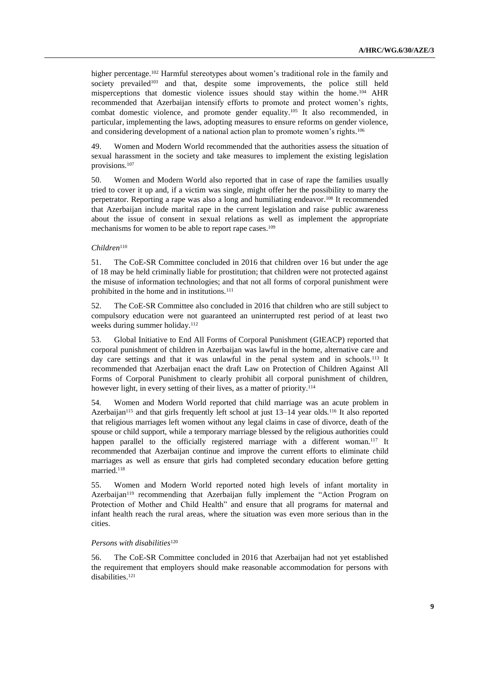higher percentage.<sup>102</sup> Harmful stereotypes about women's traditional role in the family and society prevailed<sup>103</sup> and that, despite some improvements, the police still held misperceptions that domestic violence issues should stay within the home. <sup>104</sup> AHR recommended that Azerbaijan intensify efforts to promote and protect women's rights, combat domestic violence, and promote gender equality.<sup>105</sup> It also recommended, in particular, implementing the laws, adopting measures to ensure reforms on gender violence, and considering development of a national action plan to promote women's rights.<sup>106</sup>

49. Women and Modern World recommended that the authorities assess the situation of sexual harassment in the society and take measures to implement the existing legislation provisions.<sup>107</sup>

50. Women and Modern World also reported that in case of rape the families usually tried to cover it up and, if a victim was single, might offer her the possibility to marry the perpetrator. Reporting a rape was also a long and humiliating endeavor. <sup>108</sup> It recommended that Azerbaijan include marital rape in the current legislation and raise public awareness about the issue of consent in sexual relations as well as implement the appropriate mechanisms for women to be able to report rape cases.<sup>109</sup>

#### *Children*<sup>110</sup>

51. The CoE-SR Committee concluded in 2016 that children over 16 but under the age of 18 may be held criminally liable for prostitution; that children were not protected against the misuse of information technologies; and that not all forms of corporal punishment were prohibited in the home and in institutions.<sup>111</sup>

52. The CoE-SR Committee also concluded in 2016 that children who are still subject to compulsory education were not guaranteed an uninterrupted rest period of at least two weeks during summer holiday.<sup>112</sup>

53. Global Initiative to End All Forms of Corporal Punishment (GIEACP) reported that corporal punishment of children in Azerbaijan was lawful in the home, alternative care and day care settings and that it was unlawful in the penal system and in schools.<sup>113</sup> It recommended that Azerbaijan enact the draft Law on Protection of Children Against All Forms of Corporal Punishment to clearly prohibit all corporal punishment of children, however light, in every setting of their lives, as a matter of priority.<sup>114</sup>

54. Women and Modern World reported that child marriage was an acute problem in Azerbaijan<sup>115</sup> and that girls frequently left school at just 13–14 year olds.<sup>116</sup> It also reported that religious marriages left women without any legal claims in case of divorce, death of the spouse or child support, while a temporary marriage blessed by the religious authorities could happen parallel to the officially registered marriage with a different woman.<sup>117</sup> It recommended that Azerbaijan continue and improve the current efforts to eliminate child marriages as well as ensure that girls had completed secondary education before getting married.<sup>118</sup>

55. Women and Modern World reported noted high levels of infant mortality in Azerbaijan<sup>119</sup> recommending that Azerbaijan fully implement the "Action Program on Protection of Mother and Child Health" and ensure that all programs for maternal and infant health reach the rural areas, where the situation was even more serious than in the cities.

#### *Persons with disabilities*<sup>120</sup>

56. The CoE-SR Committee concluded in 2016 that Azerbaijan had not yet established the requirement that employers should make reasonable accommodation for persons with disabilities.<sup>121</sup>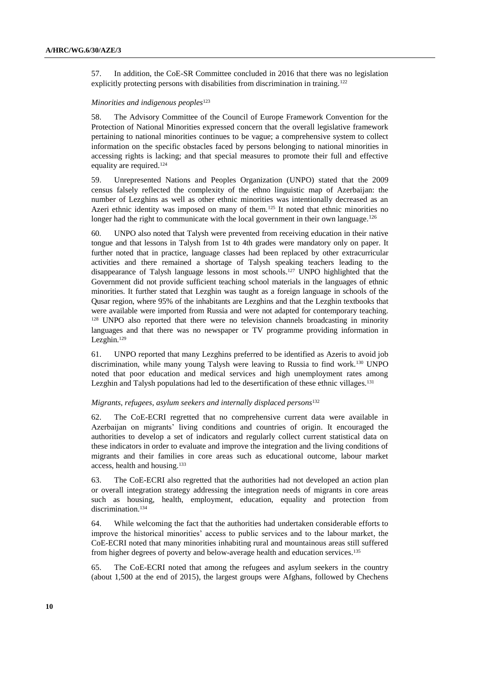57. In addition, the CoE-SR Committee concluded in 2016 that there was no legislation explicitly protecting persons with disabilities from discrimination in training.<sup>122</sup>

#### *Minorities and indigenous peoples*<sup>123</sup>

58. The Advisory Committee of the Council of Europe Framework Convention for the Protection of National Minorities expressed concern that the overall legislative framework pertaining to national minorities continues to be vague; a comprehensive system to collect information on the specific obstacles faced by persons belonging to national minorities in accessing rights is lacking; and that special measures to promote their full and effective equality are required.<sup>124</sup>

59. Unrepresented Nations and Peoples Organization (UNPO) stated that the 2009 census falsely reflected the complexity of the ethno linguistic map of Azerbaijan: the number of Lezghins as well as other ethnic minorities was intentionally decreased as an Azeri ethnic identity was imposed on many of them.<sup>125</sup> It noted that ethnic minorities no longer had the right to communicate with the local government in their own language.<sup>126</sup>

60. UNPO also noted that Talysh were prevented from receiving education in their native tongue and that lessons in Talysh from 1st to 4th grades were mandatory only on paper. It further noted that in practice, language classes had been replaced by other extracurricular activities and there remained a shortage of Talysh speaking teachers leading to the disappearance of Talysh language lessons in most schools.<sup>127</sup> UNPO highlighted that the Government did not provide sufficient teaching school materials in the languages of ethnic minorities. It further stated that Lezghin was taught as a foreign language in schools of the Qusar region, where 95% of the inhabitants are Lezghins and that the Lezghin textbooks that were available were imported from Russia and were not adapted for contemporary teaching. <sup>128</sup> UNPO also reported that there were no television channels broadcasting in minority languages and that there was no newspaper or TV programme providing information in Lezghin.<sup>129</sup>

61. UNPO reported that many Lezghins preferred to be identified as Azeris to avoid job discrimination, while many young Talysh were leaving to Russia to find work.<sup>130</sup> UNPO noted that poor education and medical services and high unemployment rates among Lezghin and Talysh populations had led to the desertification of these ethnic villages.<sup>131</sup>

#### *Migrants, refugees, asylum seekers and internally displaced persons*<sup>132</sup>

62. The CoE-ECRI regretted that no comprehensive current data were available in Azerbaijan on migrants' living conditions and countries of origin. It encouraged the authorities to develop a set of indicators and regularly collect current statistical data on these indicators in order to evaluate and improve the integration and the living conditions of migrants and their families in core areas such as educational outcome, labour market access, health and housing.<sup>133</sup>

63. The CoE-ECRI also regretted that the authorities had not developed an action plan or overall integration strategy addressing the integration needs of migrants in core areas such as housing, health, employment, education, equality and protection from discrimination. 134

64. While welcoming the fact that the authorities had undertaken considerable efforts to improve the historical minorities' access to public services and to the labour market, the CoE-ECRI noted that many minorities inhabiting rural and mountainous areas still suffered from higher degrees of poverty and below-average health and education services.<sup>135</sup>

65. The CoE-ECRI noted that among the refugees and asylum seekers in the country (about 1,500 at the end of 2015), the largest groups were Afghans, followed by Chechens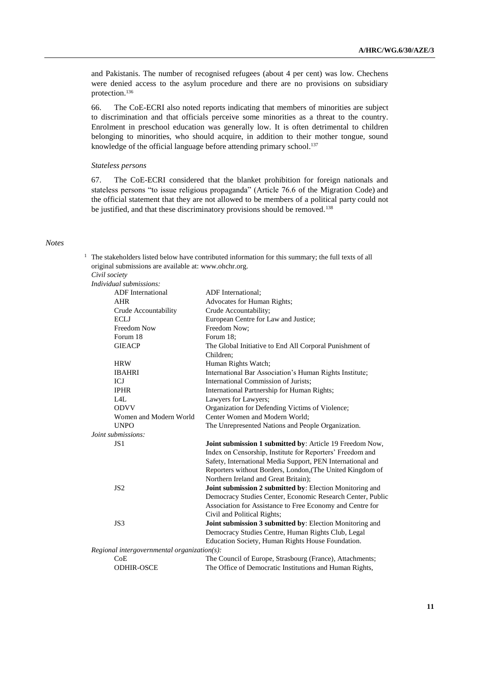and Pakistanis. The number of recognised refugees (about 4 per cent) was low. Chechens were denied access to the asylum procedure and there are no provisions on subsidiary protection.<sup>136</sup>

66. The CoE-ECRI also noted reports indicating that members of minorities are subject to discrimination and that officials perceive some minorities as a threat to the country. Enrolment in preschool education was generally low. It is often detrimental to children belonging to minorities, who should acquire, in addition to their mother tongue, sound knowledge of the official language before attending primary school. 137

### *Stateless persons*

67. The CoE-ECRI considered that the blanket prohibition for foreign nationals and stateless persons "to issue religious propaganda" (Article 76.6 of the Migration Code) and the official statement that they are not allowed to be members of a political party could not be justified, and that these discriminatory provisions should be removed.<sup>138</sup>

### *Notes*

| <sup>1</sup> The stakeholders listed below have contributed information for this summary; the full texts of all |
|-----------------------------------------------------------------------------------------------------------------|
| original submissions are available at: www.ohchr.org.                                                           |
| Civil society                                                                                                   |

*Civil society Individual submissions:*

| <b>ADF</b> International                             | <b>ADF</b> International:                                                                                             |
|------------------------------------------------------|-----------------------------------------------------------------------------------------------------------------------|
| <b>AHR</b>                                           | Advocates for Human Rights;                                                                                           |
| Crude Accountability                                 | Crude Accountability;                                                                                                 |
| <b>ECLJ</b>                                          | European Centre for Law and Justice;                                                                                  |
| <b>Freedom Now</b>                                   | Freedom Now:                                                                                                          |
| Forum 18                                             | Forum 18;                                                                                                             |
| <b>GIEACP</b>                                        | The Global Initiative to End All Corporal Punishment of<br>Children:                                                  |
| <b>HRW</b>                                           | Human Rights Watch;                                                                                                   |
| <b>IBAHRI</b>                                        | International Bar Association's Human Rights Institute;                                                               |
| ICJ                                                  | International Commission of Jurists;                                                                                  |
| <b>IPHR</b>                                          |                                                                                                                       |
| L4L                                                  | International Partnership for Human Rights;<br>Lawyers for Lawyers;                                                   |
| <b>ODVV</b>                                          | Organization for Defending Victims of Violence;                                                                       |
| Women and Modern World                               | Center Women and Modern World;                                                                                        |
| <b>UNPO</b>                                          | The Unrepresented Nations and People Organization.                                                                    |
| Joint submissions:                                   |                                                                                                                       |
| JS <sub>1</sub>                                      |                                                                                                                       |
|                                                      | Joint submission 1 submitted by: Article 19 Freedom Now,<br>Index on Censorship, Institute for Reporters' Freedom and |
|                                                      | Safety, International Media Support, PEN International and                                                            |
|                                                      | Reporters without Borders, London, (The United Kingdom of                                                             |
|                                                      | Northern Ireland and Great Britain);                                                                                  |
| JS <sub>2</sub>                                      | Joint submission 2 submitted by: Election Monitoring and                                                              |
|                                                      | Democracy Studies Center, Economic Research Center, Public                                                            |
|                                                      | Association for Assistance to Free Economy and Centre for                                                             |
|                                                      | Civil and Political Rights;                                                                                           |
| JS3                                                  | Joint submission 3 submitted by: Election Monitoring and                                                              |
|                                                      | Democracy Studies Centre, Human Rights Club, Legal                                                                    |
|                                                      |                                                                                                                       |
|                                                      | Education Society, Human Rights House Foundation.                                                                     |
| $Regional$ intergovernmental organization(s):<br>CoE | The Council of Europe, Strasbourg (France), Attachments;                                                              |
| <b>ODHIR-OSCE</b>                                    |                                                                                                                       |
|                                                      | The Office of Democratic Institutions and Human Rights,                                                               |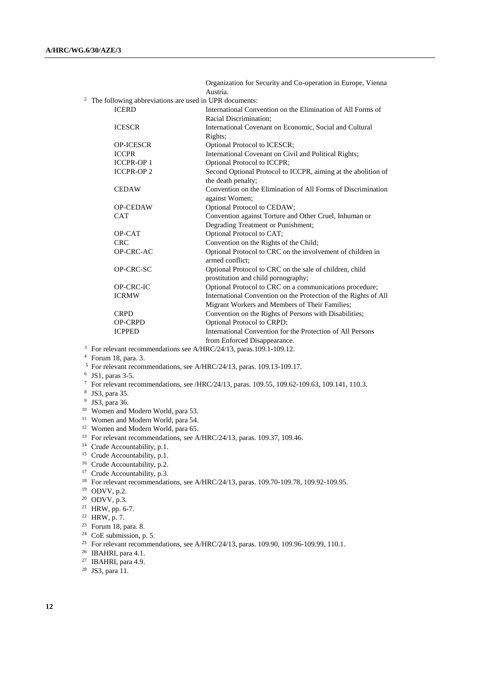Organization for Security and Co-operation in Europe, Vienna Austria. <sup>2</sup> The following abbreviations are used in UPR documents:<br>ICERD **International Conv** International Convention on the Elimination of All Forms of Racial Discrimination; ICESCR International Covenant on Economic, Social and Cultural Rights; OP-ICESCR Optional Protocol to ICESCR; ICCPR International Covenant on Civil and Political Rights; ICCPR-OP 1 Optional Protocol to ICCPR; ICCPR-OP 2 Second Optional Protocol to ICCPR, aiming at the abolition of the death penalty; CEDAW Convention on the Elimination of All Forms of Discrimination against Women; OP-CEDAW Optional Protocol to CEDAW; CAT Convention against Torture and Other Cruel, Inhuman or Degrading Treatment or Punishment; OP-CAT Optional Protocol to CAT;<br>
Convention on the Rights of CRC CRC Convention on the Rights of the Child;<br>OP-CRC-AC Optional Protocol to CRC on the involve Optional Protocol to CRC on the involvement of children in armed conflict; OP-CRC-SC Optional Protocol to CRC on the sale of children, child prostitution and child pornography; OP-CRC-IC Optional Protocol to CRC on a communications procedure;<br>ICRMW International Convention on the Protection of the Rights of International Convention on the Protection of the Rights of All Migrant Workers and Members of Their Families; CRPD Convention on the Rights of Persons with Disabilities;<br>
Opening Conventional Protocol to CRPD: OP-CRPD Optional Protocol to CRPD;<br>
ICPPED International Convention for International Convention for the Protection of All Persons from Enforced Disappearance.

<sup>3</sup> For relevant recommendations see A/HRC/24/13, paras.109.1-109.12.

<sup>4</sup> Forum 18, para. 3.

<sup>5</sup> For relevant recommendations, see A/HRC/24/13, paras. 109.13-109.17.

- 6 JS1, paras 3-5.
- <sup>7</sup> For relevant recommendations, see /HRC/24/13, paras. 109.55, 109.62-109.63, 109.141, 110.3.
- 8 JS3, para 35.
- <sup>9</sup> JS3, para 36.
- <sup>10</sup> Women and Modern World, para 53.
- <sup>11</sup> Women and Modern World, para 54.
- <sup>12</sup> Women and Modern World, para 65.
- <sup>13</sup> For relevant recommendations, see A/HRC/24/13, paras. 109.37, 109.46.
- <sup>14</sup> Crude Accountability, p.1.
- <sup>15</sup> Crude Accountability, p.1.
- <sup>16</sup> Crude Accountability, p.2.
- <sup>17</sup> Crude Accountability, p.3.
- <sup>18</sup> For relevant recommendations, see A/HRC/24/13, paras. 109.70-109.78, 109.92-109.95.
- <sup>19</sup> ODVV, p.2.
- <sup>20</sup> ODVV, p.3.
- <sup>21</sup> HRW, pp. 6-7.
- <sup>22</sup> HRW, p. 7.
- <sup>23</sup> Forum 18, para. 8.
- $24$  CoE submission, p. 5.
- <sup>25</sup> For relevant recommendations, see A/HRC/24/13, paras. 109.90, 109.96-109.99, 110.1.
- <sup>26</sup> IBAHRI, para 4.1.
- <sup>27</sup> IBAHRI, para 4.9.
- <sup>28</sup> JS3, para 11.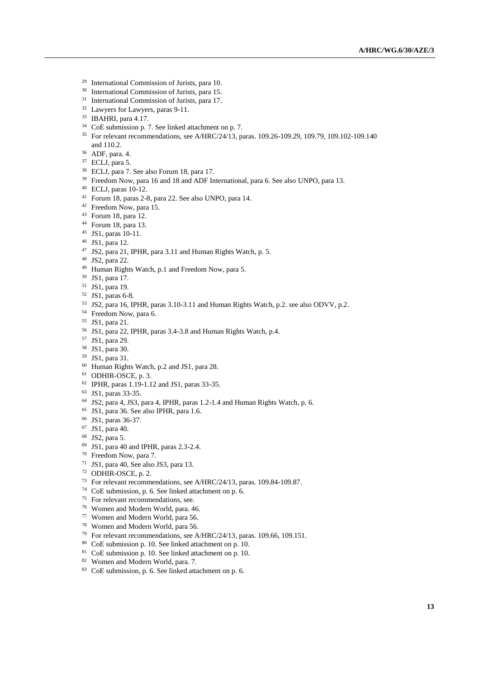- International Commission of Jurists, para 10.
- International Commission of Jurists, para 15.
- International Commission of Jurists, para 17.
- Lawyers for Lawyers, paras 9-11.
- IBAHRI, para 4.17.
- CoE submission p. 7. See linked attachment on p. 7.
- For relevant recommendations, see A/HRC/24/13, paras. 109.26-109.29, 109.79, 109.102-109.140 and 110.2.
- ADF, para. 4.
- ECLJ, para 5.
- ECLJ, para 7. See also Forum 18, para 17.
- <sup>39</sup> Freedom Now, para 16 and 18 and ADF International, para 6. See also UNPO, para 13.
- ECLJ, paras 10-12.
- Forum 18, paras 2-8, para 22. See also UNPO, para 14.
- <sup>42</sup> Freedom Now, para 15.
- Forum 18, para 12.
- Forum 18, para 13.
- JS1, paras 10-11.
- JS1, para 12.
- JS2, para 21, IPHR, para 3.11 and Human Rights Watch, p. 5.
- JS2, para 22.
- Human Rights Watch, p.1 and Freedom Now, para 5.
- JS1, para 17.
- JS1, para 19.
- JS1, paras 6-8.
- JS2, para 16, IPHR, paras 3.10-3.11 and Human Rights Watch, p.2. see also ODVV, p.2.
- Freedom Now, para 6.
- JS1, para 21.
- JS1, para 22, IPHR, paras 3.4-3.8 and Human Rights Watch, p.4.
- JS1, para 29.
- JS1, para 30.
- JS1, para 31.
- Human Rights Watch, p.2 and JS1, para 28.
- ODHIR-OSCE, p. 3.
- IPHR, paras 1.19-1.12 and JS1, paras 33-35.
- JS1, paras 33-35.
- JS2, para 4, JS3, para 4, IPHR, paras 1.2-1.4 and Human Rights Watch, p. 6.
- JS1, para 36. See also IPHR, para 1.6.
- JS1, paras 36-37.
- JS1, para 40.
- JS2, para 5.
- JS1, para 40 and IPHR, paras 2.3-2.4.
- Freedom Now, para 7.
- JS1, para 40, See also JS3, para 13.
- ODHIR-OSCE, p. 2.
- For relevant recommendations, see A/HRC/24/13, paras. 109.84-109.87.
- CoE submission, p. 6. See linked attachment on p. 6.
- For relevant recommendations, see.
- Women and Modern World, para. 46.
- Women and Modern World, para 56.
- Women and Modern World, para 56.
- For relevant recommendations, see A/HRC/24/13, paras. 109.66, 109.151.
- CoE submission p. 10. See linked attachment on p. 10.
- CoE submission p. 10. See linked attachment on p. 10.
- Women and Modern World, para. 7.
- CoE submission, p. 6. See linked attachment on p. 6.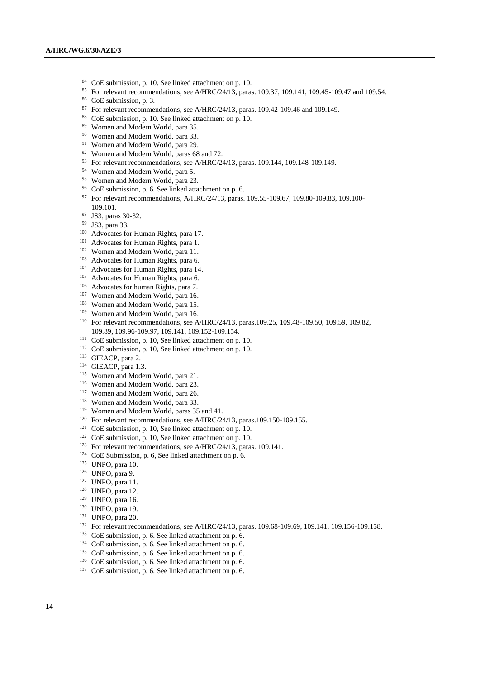- CoE submission, p. 10. See linked attachment on p. 10.
- For relevant recommendations, see A/HRC/24/13, paras. 109.37, 109.141, 109.45-109.47 and 109.54.
- CoE submission, p. 3.
- For relevant recommendations, see A/HRC/24/13, paras. 109.42-109.46 and 109.149.
- CoE submission, p. 10. See linked attachment on p. 10.
- Women and Modern World, para 35.
- <sup>90</sup> Women and Modern World, para 33.
- Women and Modern World, para 29.
- <sup>92</sup> Women and Modern World, paras 68 and 72.
- For relevant recommendations, see A/HRC/24/13, paras. 109.144, 109.148-109.149.
- Women and Modern World, para 5.
- Women and Modern World, para 23.
- CoE submission, p. 6. See linked attachment on p. 6.
- 97 For relevant recommendations, A/HRC/24/13, paras. 109.55-109.67, 109.80-109.83, 109.100-109.101.
- JS3, paras 30-32.
- JS3, para 33.
- Advocates for Human Rights, para 17.
- Advocates for Human Rights, para 1.
- Women and Modern World, para 11.
- Advocates for Human Rights, para 6.
- Advocates for Human Rights, para 14.
- Advocates for Human Rights, para 6.
- Advocates for human Rights, para 7.
- <sup>107</sup> Women and Modern World, para 16.
- Women and Modern World, para 15.
- <sup>109</sup> Women and Modern World, para 16.
- For relevant recommendations, see A/HRC/24/13, paras.109.25, 109.48-109.50, 109.59, 109.82, 109.89, 109.96-109.97, 109.141, 109.152-109.154.
- CoE submission, p. 10, See linked attachment on p. 10.
- CoE submission, p. 10, See linked attachment on p. 10.
- GIEACP, para 2.
- GIEACP, para 1.3.
- <sup>115</sup> Women and Modern World, para 21.
- Women and Modern World, para 23.
- <sup>117</sup> Women and Modern World, para 26.
- <sup>118</sup> Women and Modern World, para 33.
- Women and Modern World, paras 35 and 41.
- <sup>120</sup> For relevant recommendations, see A/HRC/24/13, paras.109.150-109.155.
- CoE submission, p. 10, See linked attachment on p. 10.
- CoE submission, p. 10, See linked attachment on p. 10.
- <sup>123</sup> For relevant recommendations, see A/HRC/24/13, paras. 109.141.
- <sup>124</sup> CoE Submission, p. 6, See linked attachment on p. 6.
- UNPO, para 10.
- UNPO, para 9.
- UNPO, para 11.
- UNPO, para 12.
- UNPO, para 16.
- UNPO, para 19.
- UNPO, para 20.
- <sup>132</sup> For relevant recommendations, see A/HRC/24/13, paras. 109.68-109.69, 109.141, 109.156-109.158.
- CoE submission, p. 6. See linked attachment on p. 6.
- CoE submission, p. 6. See linked attachment on p. 6.
- CoE submission, p. 6. See linked attachment on p. 6.
- CoE submission, p. 6. See linked attachment on p. 6.
- CoE submission, p. 6. See linked attachment on p. 6.